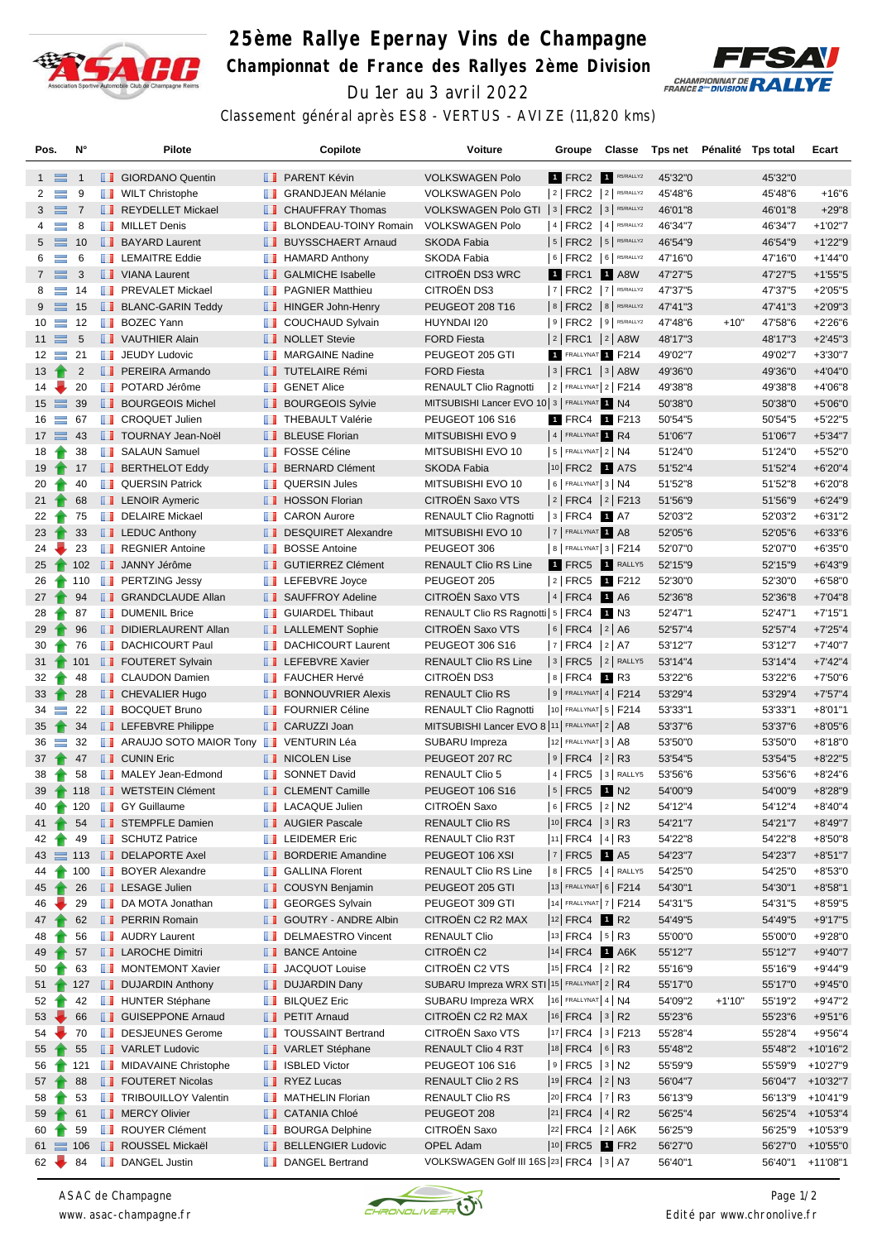

## **25ème Rallye Epernay Vins de Champagne Championnat de France des Rallyes 2ème Division** Du 1er au 3 avril 2022



Classement général après ES8 - VERTUS - AVIZE (11,820 kms)

| Pos.                   |                | N°              |   | Pilote                                |                     | Copilote                      | Voiture                                        | Groupe                     | Classe      | Tps net |          | Pénalité Tps total | Ecart            |
|------------------------|----------------|-----------------|---|---------------------------------------|---------------------|-------------------------------|------------------------------------------------|----------------------------|-------------|---------|----------|--------------------|------------------|
|                        | $1 \equiv$     | -1              |   | <b>B</b> GIORDANO Quentin             |                     | <b>FRARENT Kévin</b>          | <b>VOLKSWAGEN Polo</b>                         | 1 FRC2 1 R5/RALLY2         |             | 45'32"0 |          | 45'32"0            |                  |
| $\mathbf{2}$           | $\equiv$       | 9               |   | <b>WILT Christophe</b>                | ш                   | <b>GRANDJEAN Mélanie</b>      | <b>VOLKSWAGEN Polo</b>                         | $2$ FRC2 $2$ R5/RALLY2     |             | 45'48"6 |          | 45'48"6            | $+16"6$          |
|                        | $3 \equiv 7$   |                 |   | REYDELLET Mickael                     |                     | <b>CHAUFFRAY Thomas</b>       | VOLKSWAGEN Polo GTI   3   FRC2   3   R5/RALLY2 |                            |             | 46'01"8 |          | 46'01"8            | $+29"8$          |
| $\overline{4}$         | $\equiv$       | 8               |   | <b>NILLET</b> Denis                   | ш                   | <b>BLONDEAU-TOINY Romain</b>  | <b>VOLKSWAGEN Polo</b>                         | $ 4 $ FRC2 $ 4 $ R5/RALLY2 |             | 46'34"7 |          | 46'34"7            | $+1'02"7$        |
|                        | $5 \equiv$     | 10              |   | <b>BAYARD Laurent</b>                 |                     | <b>BUYSSCHAERT Arnaud</b>     | <b>SKODA Fabia</b>                             | $ 5 $ FRC2 $ 5 $ R5/RALLY2 |             | 46'54"9 |          | 46'54"9            | $+1'22"9$        |
| 6                      | $\equiv$       | 6               |   | <b>LEMAITRE Eddie</b>                 |                     | $\blacksquare$ HAMARD Anthony | SKODA Fabia                                    | 6   FRC2   6   R5/RALLY2   |             | 47'16"0 |          | 47'16"0            | $+1'44"0$        |
|                        | $7 \equiv$     | 3               |   | VIANA Laurent                         |                     | <b>B</b> GALMICHE Isabelle    | <b>CITROËN DS3 WRC</b>                         | 1 FRC1                     | $1$ A8W     | 47'27"5 |          | 47'27"5            | $+1'55"5$        |
| 8                      | $\equiv$       | 14              |   | <b>FREVALET Mickael</b>               | ш                   | <b>PAGNIER Matthieu</b>       | CITROËN DS3                                    | 7   FRC2   7   R5/RALLY2   |             | 47'37"5 |          | 47'37"5            | $+2'05"5$        |
|                        | $9 \equiv$     | 15              |   | <b>BLANC-GARIN Teddy</b>              |                     | HINGER John-Henry             | PEUGEOT 208 T16                                | $8$ FRC2 $8$ R5/RALLY2     |             | 47'41"3 |          | 47'41"3            | $+2'09''3$       |
|                        | $10 =$         | 12              |   | <b>BOZEC Yann</b>                     | ш                   | <b>COUCHAUD Sylvain</b>       | HUYNDAI I20                                    | $ 9 $ FRC2 $ 9 $ R5/RALLY2 |             | 47'48"6 | $+10"$   | 47'58"6            | $+2'26'6$        |
|                        | $11 \equiv$    | $\sqrt{5}$      |   | VAUTHIER Alain                        |                     | NOLLET Stevie                 | <b>FORD Fiesta</b>                             | $ 2 $ FRC1 $ 2 $ A8W       |             | 48'17"3 |          | 48'17"3            | $+2'45''3$       |
|                        | $12 \equiv$    | 21              |   | <b>JEUDY Ludovic</b>                  |                     | <b>NARGAINE Nadine</b>        | PEUGEOT 205 GTI                                | FRALLYNAT T F214           |             | 49'02"7 |          | 49'02"7            | $+3'30"7$        |
| 13                     |                | 2               |   | <b>FREIRA</b> Armando                 |                     | <b>TUTELAIRE Rémi</b>         | <b>FORD Fiesta</b>                             | $ 3 $ FRC1 $ 3 $ A8W       |             | 49'36"0 |          | 49'36"0            | $+4'04"0$        |
| 14                     |                | 20              | ш | POTARD Jérôme                         | ш                   | <b>GENET Alice</b>            | <b>RENAULT Clio Ragnotti</b>                   | $ 2 $ FRALLYNAT $ 2 $ F214 |             | 49'38"8 |          | 49'38"8            | +4'06"8          |
|                        | $15 \equiv$    | 39              |   | <b>BOURGEOIS Michel</b>               |                     | <b>BOURGEOIS Sylvie</b>       | MITSUBISHI Lancer EVO 10 3   FRALLYNAT 1 N4    |                            |             | 50'38"0 |          | 50'38"0            | $+5'06"0$        |
|                        | $16 \equiv$    | 67              |   | <b>CROQUET Julien</b>                 | ш                   | <b>THEBAULT Valérie</b>       | PEUGEOT 106 S16                                | 1 FRC4 1 F213              |             | 50'54"5 |          | 50'54"5            | $+5'22"5$        |
|                        | $17 \equiv 43$ |                 |   | <b>TOURNAY Jean-Noël</b>              |                     | <b>BLEUSE Florian</b>         | MITSUBISHI EVO 9                               | 4 FRALLYNAT 1 R4           |             | 51'06"7 |          | 51'06"7            | $+5'34"7$        |
| 18                     |                | 38              |   | <b>B</b> SALAUN Samuel                |                     | <b>FOSSE Céline</b>           | MITSUBISHI EVO 10                              | $ 5 $ FRALLYNAT $2 NA$     |             | 51'24"0 |          | 51'24"0            | $+5'52"0$        |
| 19                     |                | 17              |   | <b>BERTHELOT Eddy</b>                 |                     | <b>BERNARD Clément</b>        | <b>SKODA Fabia</b>                             | 10 FRC2 1 A7S              |             | 51'52"4 |          | 51'52"4            | $+6'20''4$       |
| 20                     |                | 40              |   | <b>QUERSIN Patrick</b>                |                     | <b>QUERSIN Jules</b>          | MITSUBISHI EVO 10                              | $6$ FRALLYNAT 3 N4         |             | 51'52"8 |          | 51'52"8            | $+6'20"8$        |
| $21 \t1$               |                | 68              |   | <b>LENOIR Aymeric</b>                 |                     | <b>T</b> HOSSON Florian       | CITROËN Saxo VTS                               | 2 FRC4 2 F213              |             | 51'56"9 |          | 51'56"9            | $+6'24"9$        |
| 22                     |                | 75              | ш | <b>DELAIRE Mickael</b>                | ш                   | <b>CARON Aurore</b>           | <b>RENAULT Clio Ragnotti</b>                   | $3$ FRC4                   | 1 A7        | 52'03"2 |          | 52'03"2            | $+6'31"2$        |
| 23                     |                | 33              |   | <b>LEDUC Anthony</b>                  |                     | DESQUIRET Alexandre           | MITSUBISHI EVO 10                              | 7 FRALLYNAT 1 A8           |             | 52'05"6 |          | 52'05"6            | $+6'33'6$        |
| $24 -$                 |                | 23              |   | <b>REGNIER Antoine</b>                |                     | <b>BOSSE</b> Antoine          | PEUGEOT 306                                    | 8   FRALLYNAT 3   F214     |             | 52'07"0 |          | 52'07"0            | $+6'35"0$        |
| $25 \rightarrow$       |                |                 |   | 102 JANNY Jérôme                      |                     | <b>I</b> GUTIERREZ Clément    | <b>RENAULT Clio RS Line</b>                    | 1 FRC5 1 RALLY5            |             | 52'15"9 |          | 52'15"9            | $+6'43''9$       |
| 26                     |                | 110             |   | <b>PERTZING Jessy</b>                 |                     | <b>LEFEBVRE</b> Joyce         | PEUGEOT 205                                    | 2 FRC5 1 F212              |             | 52'30"0 |          | 52'30"0            | $+6'58"0$        |
| $27 \t{}$              |                | 94              |   | <b>F</b> GRANDCLAUDE Allan            |                     | SAUFFROY Adeline              | CITROËN Saxo VTS                               | $ 4 $ FRC4                 | <b>1</b> A6 | 52'36"8 |          | 52'36"8            | $+7'04"8$        |
| 28                     | Ŧ              | 87              |   | <b>DUMENIL Brice</b>                  | w                   | <b>GUIARDEL Thibaut</b>       | RENAULT Clio RS Ragnotti   5   FRC4            |                            | $1$ N3      | 52'47"1 |          | 52'47"1            | $+7'15"1$        |
| $29 - 7$               |                | 96              |   | DIDIERLAURENT Allan                   |                     | <b>LALLEMENT Sophie</b>       | CITROËN Saxo VTS                               | $ 6 $ FRC4 $ 2 $ A6        |             | 52'57"4 |          | 52'57"4            | $+7'25''4$       |
| 30                     |                | 76              |   | <b>DACHICOURT Paul</b>                |                     | DACHICOURT Laurent            | PEUGEOT 306 S16                                | $ 7 $ FRC4 $ 2 $ A7        |             | 53'12"7 |          | 53'12"7            | $+7'40''7$       |
| $31 \quad \rightarrow$ |                | 101             |   | <b>FOUTERET Sylvain</b>               |                     | <b>T</b> LEFEBVRE Xavier      | <b>RENAULT Clio RS Line</b>                    | $ 3 $ FRC5 $ 2 $ RALLY5    |             | 53'14"4 |          | 53'14"4            | $+7'42''4$       |
| 32                     |                | 48              |   | <b>CLAUDON Damien</b>                 |                     | <b>FAUCHER Hervé</b>          | CITROËN DS3                                    | $ 8 $ FRC4 1 R3            |             | 53'22"6 |          | 53'22"6            | $+7'50''6$       |
| $33 \rightarrow$       |                | 28              |   | <b>CHEVALIER Hugo</b>                 |                     | <b>BONNOUVRIER Alexis</b>     | <b>RENAULT Clio RS</b>                         | $ 9 $ FRALLYNAT 4   F214   |             | 53'29"4 |          | 53'29"4            | $+7'57''4$       |
|                        | $34 =$         | 22              |   | <b>BOCQUET Bruno</b>                  | m                   | <b>FOURNIER Céline</b>        | <b>RENAULT Clio Ragnotti</b>                   | 10 FRALLYNAT 5   F214      |             | 53'33"1 |          | 53'33"1            | $+8'01"1$        |
| 35                     |                | 34              |   | <b>LEFEBVRE Philippe</b>              |                     | <b>CARUZZI Joan</b>           | MITSUBISHI Lancer EVO 8 11 FRALLYNAT 2   A8    |                            |             | 53'37"6 |          | 53'37"6            | $+8'05"6$        |
|                        | $36 =$         | 32              |   | ARAUJO SOTO MAIOR Tony I VENTURIN Léa |                     |                               | SUBARU Impreza                                 | 12 FRALLYNAT 3   A8        |             | 53'50"0 |          | 53'50"0            | $+8'18"0$        |
| $37 +$                 |                | 47              |   | <b>CUNIN Eric</b>                     |                     | NICOLEN Lise                  | PEUGEOT 207 RC                                 | $ 9 $ FRC4 $ 2 $ R3        |             | 53'54"5 |          | 53'54"5            | $+8'22"5$        |
| 38                     |                | 58              |   | MALEY Jean-Edmond                     | <b>The Contract</b> | <b>SONNET David</b>           | <b>RENAULT Clio 5</b>                          | $ 4 $ FRC5 $ 3 $ RALLY5    |             | 53'56"6 |          | 53'56"6            | $+8'24"6$        |
|                        |                |                 |   | 39 118 VETSTEIN Clément               |                     | <b>CLEMENT Camille</b>        | PEUGEOT 106 S16                                | 5   FRC5   N2              |             | 54'00"9 |          | 54'00"9            | $+8'28"9$        |
| 40                     | Ŧ              | 120             |   | <b>Samillaume</b>                     |                     | <b>T</b> LACAQUE Julien       | CITROËN Saxo                                   | 6   FRC5   2   N2          |             | 54'12"4 |          | 54'12"4            | $+8'40''4$       |
| 41 <sub>1</sub>        |                | 54              |   | STEMPFLE Damien                       |                     | <b>NET</b> AUGIER Pascale     | RENAULT Clio RS                                | $ 10 $ FRC4 $ 3 $ R3       |             | 54'21"7 |          | 54'21"7            | $+8'49"7$        |
| 42                     |                | 49              |   | <b>SCHUTZ Patrice</b>                 |                     | <b>EDEMER Eric</b>            | RENAULT Clio R3T                               | 11 FRC4   4   R3           |             | 54'22"8 |          | 54'22"8            | $+8'50"8$        |
|                        |                |                 |   | 43 113 DELAPORTE Axel                 |                     | <b>BORDERIE Amandine</b>      | PEUGEOT 106 XSI                                | $ 7 $ FRC5 1 A5            |             | 54'23"7 |          | 54'23"7            | $+8'51"7$        |
| 44                     | ÷              | 100             |   | <b>BOYER Alexandre</b>                |                     | <b>B</b> GALLINA Florent      | RENAULT Clio RS Line                           | 8   FRC5   4   RALLY5      |             | 54'25"0 |          | 54'25"0            | $+8'53''0$       |
| $45$ 1                 |                | 26              |   | <b>LESAGE Julien</b>                  |                     | COUSYN Benjamin               | PEUGEOT 205 GTI                                | 13 FRALLYNAT 6   F214      |             | 54'30"1 |          | 54'30"1            | $+8'58"1$        |
| 46                     |                | 29              |   | DA MOTA Jonathan                      |                     | <b>B</b> GEORGES Sylvain      | PEUGEOT 309 GTI                                | 14 FRALLYNAT 7   F214      |             | 54'31"5 |          | 54'31"5            | $+8'59"5$        |
| 47                     |                | 62              |   | <b>PERRIN Romain</b>                  |                     | GOUTRY - ANDRE Albin          | CITROËN C2 R2 MAX                              | $ 12 $ FRC4 1 R2           |             | 54'49"5 |          | 54'49"5            | $+9'17"5$        |
| 48                     |                | 56              |   | <b>AUDRY Laurent</b>                  |                     | DELMAESTRO Vincent            | <b>RENAULT Clio</b>                            | $ 13 $ FRC4 $ 5 $ R3       |             | 55'00"0 |          | 55'00"0            | $+9'28"0$        |
| 49                     |                | 57              |   | <b>LE</b> LAROCHE Dimitri             |                     | <b>BANCE Antoine</b>          | CITROËN C2                                     | 14 FRC4 1 A6K              |             | 55'12"7 |          | 55'12"7            | $+9'40''7$       |
| 50                     |                | 63              | ш | <b>MONTEMONT Xavier</b>               | ш                   | JACQUOT Louise                | CITROËN C2 VTS                                 | $ 15 $ FRC4 $ 2 $ R2       |             | 55'16"9 |          | 55'16"9            | $+9'44''9$       |
|                        | $51$ 1         |                 |   | 127 <b>DUJARDIN Anthony</b>           |                     | <b>DUJARDIN Dany</b>          | SUBARU Impreza WRX STI 15 FRALLYNAT 2   R4     |                            |             | 55'17"0 |          | 55'17"0            | $+9'45"0$        |
| 52                     |                | 42              |   | <b>F</b> HUNTER Stéphane              |                     | <b>BILQUEZ Eric</b>           | SUBARU Impreza WRX                             | $16$ FRALLYNAT 4   N4      |             | 54'09"2 | $+1'10"$ | 55'19"2            | $+9'47"2$        |
| $53 -$                 |                | 66              |   | <b>GUISEPPONE Arnaud</b>              |                     | <b>PETIT Arnaud</b>           | CITROEN C2 R2 MAX                              | $ 16 $ FRC4 $ 3 $ R2       |             | 55'23"6 |          | 55'23"6            | $+9'51"6$        |
| 54                     |                | 70              |   | DESJEUNES Gerome                      |                     | <b>TOUSSAINT Bertrand</b>     | CITROËN Saxo VTS                               | 17 FRC4   3   F213         |             | 55'28"4 |          | 55'28"4            | $+9'56''4$       |
| 55                     |                | 55              |   | VARLET Ludovic                        |                     | VARLET Stéphane               | RENAULT Clio 4 R3T                             | $ 18 $ FRC4 $ 6 $ R3       |             | 55'48"2 |          | 55'48"2            | +10'16"2         |
| 56                     |                | 121             |   | <b>NIDAVAINE Christophe</b>           | ш                   | <b>ISBLED Victor</b>          | PEUGEOT 106 S16                                | $ 9 $ FRC5 $ 3 $ N2        |             | 55'59"9 |          | 55'59"9            | +10'27"9         |
| $57 +$                 |                | 88              |   | <b>FOUTERET Nicolas</b>               |                     | RYEZ Lucas                    | RENAULT Clio 2 RS                              | 19 FRC4   2   N3           |             | 56'04"7 |          |                    | 56'04"7 +10'32"7 |
| 58                     |                | 53              |   | <b>TRIBOUILLOY Valentin</b>           |                     | MATHELIN Florian              | RENAULT Clio RS                                | $ 20 $ FRC4 $ 7 $ R3       |             | 56'13"9 |          | 56'13"9            | +10'41"9         |
| 59                     |                | 61              |   | <b>NERCY Olivier</b>                  |                     | <b>CATANIA Chloé</b>          | PEUGEOT 208                                    | $ 21 $ FRC4 $ 4 $ R2       |             | 56'25"4 |          | 56'25"4            | +10'53"4         |
| 60                     |                | 59              |   | ROUYER Clément                        |                     | <b>BOURGA Delphine</b>        | CITROËN Saxo                                   | 22 FRC4 2 A6K              |             | 56'25"9 |          | 56'25"9            | +10'53"9         |
|                        |                | $61 \equiv 106$ |   | <b>B</b> ROUSSEL Mickaël              |                     | <b>BELLENGIER Ludovic</b>     | OPEL Adam                                      | 10 FRC5 <b>1 FR2</b>       |             | 56'27"0 |          | 56'27"0            | +10'55"0         |
|                        | $62 -$         | 84              |   | <b>DANGEL Justin</b>                  |                     | DANGEL Bertrand               | VOLKSWAGEN Golf III 16S 23 FRC4   3   A7       |                            |             | 56'40"1 |          |                    | 56'40"1 +11'08"1 |



*ASAC de Champagne www. asac-champagne.fr*